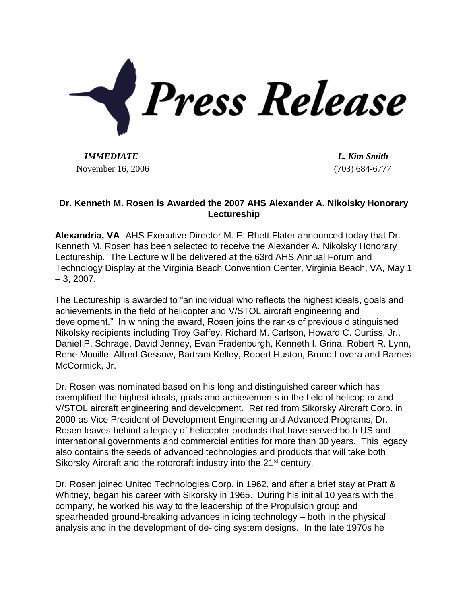

*IMMEDIATE L. Kim Smith* November 16, 2006 (703) 684-6777

## **Dr. Kenneth M. Rosen is Awarded the 2007 AHS Alexander A. Nikolsky Honorary Lectureship**

**Alexandria, VA**--AHS Executive Director M. E. Rhett Flater announced today that Dr. Kenneth M. Rosen has been selected to receive the Alexander A. Nikolsky Honorary Lectureship. The Lecture will be delivered at the 63rd AHS Annual Forum and Technology Display at the Virginia Beach Convention Center, Virginia Beach, VA, May 1  $-3, 2007.$ 

The Lectureship is awarded to "an individual who reflects the highest ideals, goals and achievements in the field of helicopter and V/STOL aircraft engineering and development." In winning the award, Rosen joins the ranks of previous distinguished Nikolsky recipients including Troy Gaffey, Richard M. Carlson, Howard C. Curtiss, Jr., Daniel P. Schrage, David Jenney, Evan Fradenburgh, Kenneth I. Grina, Robert R. Lynn, Rene Mouille, Alfred Gessow, Bartram Kelley, Robert Huston, Bruno Lovera and Barnes McCormick, Jr.

Dr. Rosen was nominated based on his long and distinguished career which has exemplified the highest ideals, goals and achievements in the field of helicopter and V/STOL aircraft engineering and development. Retired from Sikorsky Aircraft Corp. in 2000 as Vice President of Development Engineering and Advanced Programs, Dr. Rosen leaves behind a legacy of helicopter products that have served both US and international governments and commercial entities for more than 30 years. This legacy also contains the seeds of advanced technologies and products that will take both Sikorsky Aircraft and the rotorcraft industry into the 21<sup>st</sup> century.

Dr. Rosen joined United Technologies Corp. in 1962, and after a brief stay at Pratt & Whitney, began his career with Sikorsky in 1965. During his initial 10 years with the company, he worked his way to the leadership of the Propulsion group and spearheaded ground-breaking advances in icing technology – both in the physical analysis and in the development of de-icing system designs. In the late 1970s he